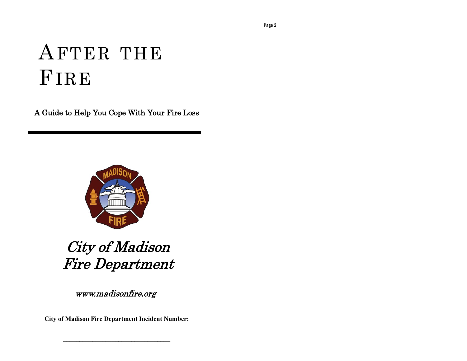# AFTER THE FIRE

A Guide to Help You Cope With Your Fire Loss



## City of Madison Fire Department

www.madisonfire.org

**City of Madison Fire Department Incident Number:**

**\_\_\_\_\_\_\_\_\_\_\_\_\_\_\_\_\_\_\_\_\_\_\_\_\_\_\_\_\_\_\_\_\_**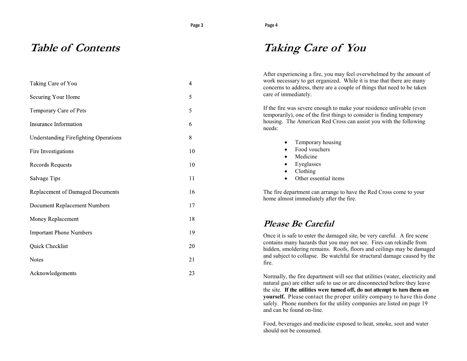Page 4

### **Table of Contents**

| Taking Care of You                    | $\overline{4}$ |
|---------------------------------------|----------------|
| Securing Your Home                    | 5              |
| Temporary Care of Pets                | 5              |
| Insurance Information                 | 6              |
| Understanding Firefighting Operations | 8              |
| Fire Investigations                   | 10             |
| Records Requests                      | 10             |
| Salvage Tips                          | 11             |
| Replacement of Damaged Documents      | 16             |
| Document Replacement Numbers          | 17             |
| Money Replacement                     | 18             |
| <b>Important Phone Numbers</b>        | 19             |
| Quick Checklist                       | 20             |
| Notes                                 | 21             |
| Acknowledgements                      | 23             |
|                                       |                |

### **Taking Care of You**

After experiencing a fire, you may feel overwhelmed by the amount of work necessary to get organized. While it is true that there are many concerns to address, there are a couple of things that need to be taken care of immediately.

If the fire was severe enough to make your residence unlivable (even temporarily), one of the first things to consider is finding temporary housing. The American Red Cross can assist you with the following needs:

- Temporary housing
- Food vouchers
- Medicine
- Eyeglasses
- Clothing
- Other essential items

The fire department can arrange to have the Red Cross come to your home almost immediately after the fire.

### **Please Be Careful**

Once it is safe to enter the damaged site, be very careful. A fire scene contains many hazards that you may not see. Fires can rekindle from hidden, smoldering remains. Roofs, floors and ceilings may be damaged and subject to collapse. Be watchful for structural damage caused by the fire.

Normally, the fire department will see that utilities (water, electricity and natural gas) are either safe to use or are disconnected before they leave the site. **If the utilities were turned off, do not attempt to turn them on yourself.** Please contact the proper utility company to have this done safely. Phone numbers for the utility companies are listed on page 19 and can be found on-line.

Food, beverages and medicine exposed to heat, smoke, soot and water should not be consumed.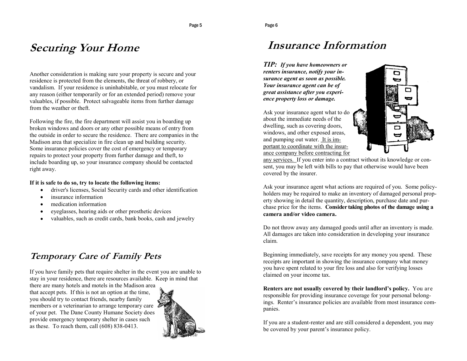### **Securing Your Home**

Another consideration is making sure your property is secure and your residence is protected from the elements, the threat of robbery, or vandalism. If your residence is uninhabitable, or you must relocate for any reason (either temporarily or for an extended period) remove your valuables, if possible. Protect salvageable items from further damage from the weather or theft.

Following the fire, the fire department will assist you in boarding up broken windows and doors or any other possible means of entry from the outside in order to secure the residence. There are companies in the Madison area that specialize in fire clean up and building security. Some insurance policies cover the cost of emergency or temporary repairs to protect your property from further damage and theft, to include boarding up, so your insurance company should be contacted right away.

#### **If it is safe to do so, try to locate the following items:**

- driver's licenses, Social Security cards and other identification
- insurance information
- medication information
- eyeglasses, hearing aids or other prosthetic devices
- valuables, such as credit cards, bank books, cash and jewelry  $\bullet$

### **Temporary Care of Family Pets**

If you have family pets that require shelter in the event you are unable to stay in your residence, there are resources available. Keep in mind that

there are many hotels and motels in the Madison area that accept pets. If this is not an option at the time, you should try to contact friends, nearby family members or a veterinarian to arrange temporary care of your pet. The Dane County Humane Society does provide emergency temporary shelter in cases such as these. To reach them, call (608) 838-0413.



### **Insurance Information**

*TIP: If you have homeowners or renters insurance, notify your insurance agent as soon as possible. Your insurance agent can be of great assistance after you experience property loss or damage.*

Ask your insurance agent what to do about the immediate needs of the dwelling, such as covering doors, windows, and other exposed areas, and pumping out water. It is important to coordinate with the insurance company before contracting for



any services. If you enter into a contract without its knowledge or consent, you may be left with bills to pay that otherwise would have been covered by the insurer.

Ask your insurance agent what actions are required of you. Some policyholders may be required to make an inventory of damaged personal property showing in detail the quantity, description, purchase date and purchase price for the items. **Consider taking photos of the damage using a camera and/or video camera.** 

Do not throw away any damaged goods until after an inventory is made. All damages are taken into consideration in developing your insurance claim.

Beginning immediately, save receipts for any money you spend. These receipts are important in showing the insurance company what money you have spent related to your fire loss and also for verifying losses claimed on your income tax.

**Renters are not usually covered by their landlord's policy.** You are responsible for providing insurance coverage for your personal belongings. Renter's insurance policies are available from most insurance companies.

If you are a student-renter and are still considered a dependent, you may be covered by your parent's insurance policy.

Page 5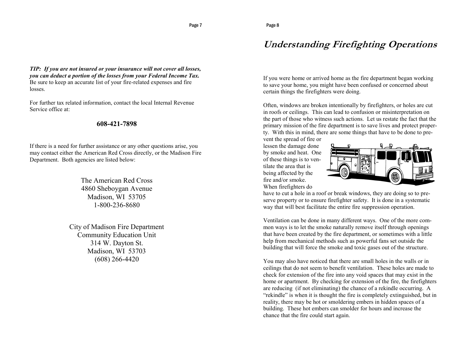### **Understanding Firefighting Operations**

*TIP: If you are not insured or your insurance will not cover all losses, you can deduct a portion of the losses from your Federal Income Tax.*  Be sure to keep an accurate list of your fire-related expenses and fire losses.

For further tax related information, contact the local Internal Revenue Service office at:

#### **608-421-7898**

If there is a need for further assistance or any other questions arise, you may contact either the American Red Cross directly, or the Madison Fire Department. Both agencies are listed below:

> The American Red Cross 4860 Sheboygan Avenue Madison, WI 53705 1-800-236-8680

City of Madison Fire Department Community Education Unit 314 W. Dayton St. Madison, WI 53703 (608) 266-4420

If you were home or arrived home as the fire department began working to save your home, you might have been confused or concerned about certain things the firefighters were doing.

Often, windows are broken intentionally by firefighters, or holes are cut in roofs or ceilings. This can lead to confusion or misinterpretation on the part of those who witness such actions. Let us restate the fact that the primary mission of the fire department is to save lives and protect property. With this in mind, there are some things that have to be done to pre-

vent the spread of fire or lessen the damage done by smoke and heat. One of these things is to ventilate the area that is being affected by the fire and/or smoke. When firefighters do



have to cut a hole in a roof or break windows, they are doing so to preserve property or to ensure firefighter safety. It is done in a systematic way that will best facilitate the entire fire suppression operation.

Ventilation can be done in many different ways. One of the more common ways is to let the smoke naturally remove itself through openings that have been created by the fire department, or sometimes with a little help from mechanical methods such as powerful fans set outside the building that will force the smoke and toxic gases out of the structure.

You may also have noticed that there are small holes in the walls or in ceilings that do not seem to benefit ventilation. These holes are made to check for extension of the fire into any void spaces that may exist in the home or apartment. By checking for extension of the fire, the firefighters are reducing (if not eliminating) the chance of a rekindle occurring. A "rekindle" is when it is thought the fire is completely extinguished, but in reality, there may be hot or smoldering embers in hidden spaces of a building. These hot embers can smolder for hours and increase the chance that the fire could start again.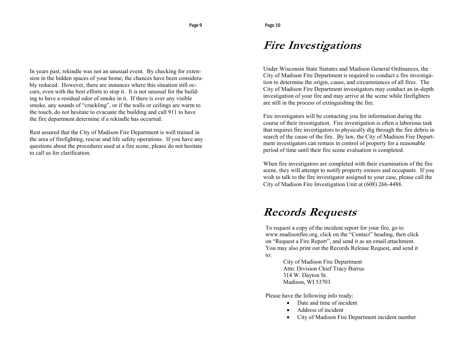### **Fire Investigations**

Under Wisconsin State Statutes and Madison General Ordinances, the City of Madison Fire Department is required to conduct a fire investigation to determine the origin, cause, and circumstances of all fires. The City of Madison Fire Department investigators may conduct an in-depth investigation of your fire and may arrive at the scene while firefighters are still in the process of extinguishing the fire.

Fire investigators will be contacting you for information during the course of their investigation. Fire investigation is often a laborious task that requires fire investigators to physically dig through the fire debris in search of the cause of the fire. By law, the City of Madison Fire Department investigators can remain in control of property for a reasonable period of time until their fire scene evaluation is completed.

When fire investigators are completed with their examination of the fire scene, they will attempt to notify property owners and occupants. If you wish to talk to the fire investigator assigned to your case, please call the City of Madison Fire Investigation Unit at (608) 266-4488.

### **Records Requests**

To request a copy of the incident report for your fire, go to www.madisonfire.org, click on the "Contact" heading, then click on "Request a Fire Report", and send it as an email attachment. You may also print out the Records Release Request, and send it to:

> City of Madison Fire Department Attn: Division Chief Tracy Burrus 314 W. Dayton St. Madison, WI 53703

Please have the following info ready:

- Date and time of incident
- Address of incident
- City of Madison Fire Department incident number

In years past, rekindle was not an unusual event. By checking for extension in the hidden spaces of your home, the chances have been considerably reduced. However, there are instances where this situation still occurs, even with the best efforts to stop it. It is not unusual for the building to have a residual odor of smoke in it. If there is ever any visible smoke, any sounds of "crackling", or if the walls or ceilings are warm to the touch, do not hesitate to evacuate the building and call 911 to have the fire department determine if a rekindle has occurred.

Rest assured that the City of Madison Fire Department is well trained in the area of firefighting, rescue and life safety operations. If you have any questions about the procedures used at a fire scene, please do not hesitate to call us for clarification.

Page 9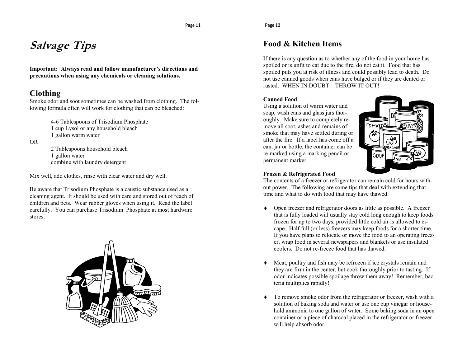#### Page 12

### **Salvage Tips**

**Important: Always read and follow manufacturer's directions and precautions when using any chemicals or cleaning solutions.**

### **Clothing**

Smoke odor and soot sometimes can be washed from clothing. The following formula often will work for clothing that can be bleached:

> 4-6 Tablespoons of Trisodium Phosphate 1 cup Lysol or any household bleach 1 gallon warm water

OR

2 Tablespoons household bleach 1 gallon water combine with laundry detergent

Mix well, add clothes, rinse with clear water and dry well.

Be aware that Trisodium Phosphate is a caustic substance used as a cleaning agent. It should be used with care and stored out of reach of children and pets. Wear rubber gloves when using it. Read the label carefully. You can purchase Trisodium Phosphate at most hardware stores.



### **Food & Kitchen Items**

If there is any question as to whether any of the food in your home has spoiled or is unfit to eat due to the fire, do not eat it. Food that has spoiled puts you at risk of illness and could possibly lead to death. Do not use canned goods when cans have bulged or if they are dented or rusted. WHEN IN DOUBT – THROW IT OUT!

#### **Canned Food**

Using a solution of warm water and soap, wash cans and glass jars thoroughly. Make sure to completely remove all soot, ashes and remains of smoke that may have settled during or after the fire. If a label has come off a can, jar or bottle, the container can be re-marked using a marking pencil or permanent marker.



#### **Frozen & Refrigerated Food**

The contents of a freezer or refrigerator can remain cold for hours without power. The following are some tips that deal with extending that time and what to do with food that may have thawed.

- Open freezer and refrigerator doors as little as possible. A freezer that is fully loaded will usually stay cold long enough to keep foods frozen for up to two days, provided little cold air is allowed to escape. Half full (or less) freezers may keep foods for a shorter time. If you have plans to relocate or move the food to an operating freezer, wrap food in several newspapers and blankets or use insulated coolers. Do not re-freeze food that has thawed.
- Meat, poultry and fish may be refrozen if ice crystals remain and they are firm in the center, but cook thoroughly prior to tasting. If odor indicates possible spoilage throw them away! Remember, bacteria multiplies rapidly!
- To remove smoke odor from the refrigerator or freezer, wash with a solution of baking soda and water or use one cup vinegar or household ammonia to one gallon of water. Some baking soda in an open container or a piece of charcoal placed in the refrigerator or freezer will help absorb odor.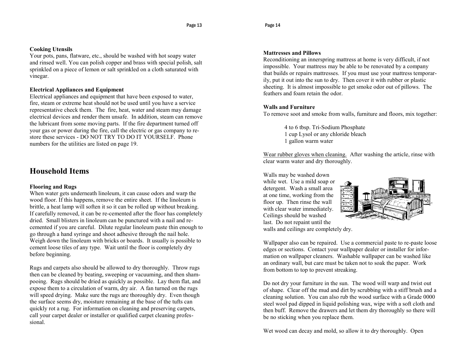#### **Cooking Utensils**

Your pots, pans, flatware, etc., should be washed with hot soapy water and rinsed well. You can polish copper and brass with special polish, salt sprinkled on a piece of lemon or salt sprinkled on a cloth saturated with vinegar.

#### **Electrical Appliances and Equipment**

Electrical appliances and equipment that have been exposed to water, fire, steam or extreme heat should not be used until you have a service representative check them. The fire, heat, water and steam may damage electrical devices and render them unsafe. In addition, steam can remove the lubricant from some moving parts. If the fire department turned off your gas or power during the fire, call the electric or gas company to restore these services - DO NOT TRY TO DO IT YOURSELF. Phone numbers for the utilities are listed on page 19.

### **Household Items**

#### **Flooring and Rugs**

When water gets underneath linoleum, it can cause odors and warp the wood floor. If this happens, remove the entire sheet. If the linoleum is brittle, a heat lamp will soften it so it can be rolled up without breaking. If carefully removed, it can be re-cemented after the floor has completely dried. Small blisters in linoleum can be punctured with a nail and recemented if you are careful. Dilute regular linoleum paste thin enough to go through a hand syringe and shoot adhesive through the nail hole. Weigh down the linoleum with bricks or boards. It usually is possible to cement loose tiles of any type. Wait until the floor is completely dry before beginning.

Rugs and carpets also should be allowed to dry thoroughly. Throw rugs then can be cleaned by beating, sweeping or vacuuming, and then shampooing. Rugs should be dried as quickly as possible. Lay them flat, and expose them to a circulation of warm, dry air. A fan turned on the rugs will speed drying. Make sure the rugs are thoroughly dry. Even though the surface seems dry, moisture remaining at the base of the tufts can quickly rot a rug. For information on cleaning and preserving carpets, call your carpet dealer or installer or qualified carpet cleaning professional.

#### **Mattresses and Pillows**

Reconditioning an innerspring mattress at home is very difficult, if not impossible. Your mattress may be able to be renovated by a company that builds or repairs mattresses. If you must use your mattress temporarily, put it out into the sun to dry. Then cover it with rubber or plastic sheeting. It is almost impossible to get smoke odor out of pillows. The feathers and foam retain the odor.

#### **Walls and Furniture**

To remove soot and smoke from walls, furniture and floors, mix together:

4 to 6 tbsp. Tri-Sodium Phosphate 1 cup Lysol or any chloride bleach 1 gallon warm water

Wear rubber gloves when cleaning. After washing the article, rinse with clear warm water and dry thoroughly.

Walls may be washed down while wet. Use a mild soap or detergent. Wash a small area at one time, working from the floor up. Then rinse the wall with clear water immediately. Ceilings should be washed last. Do not repaint until the walls and ceilings are completely dry.



Wallpaper also can be repaired. Use a commercial paste to re-paste loose edges or sections. Contact your wallpaper dealer or installer for information on wallpaper cleaners. Washable wallpaper can be washed like an ordinary wall, but care must be taken not to soak the paper. Work from bottom to top to prevent streaking.

Do not dry your furniture in the sun. The wood will warp and twist out of shape. Clear off the mud and dirt by scrubbing with a stiff brush and a cleaning solution. You can also rub the wood surface with a Grade 0000 steel wool pad dipped in liquid polishing wax, wipe with a soft cloth and then buff. Remove the drawers and let them dry thoroughly so there will be no sticking when you replace them.

Wet wood can decay and mold, so allow it to dry thoroughly. Open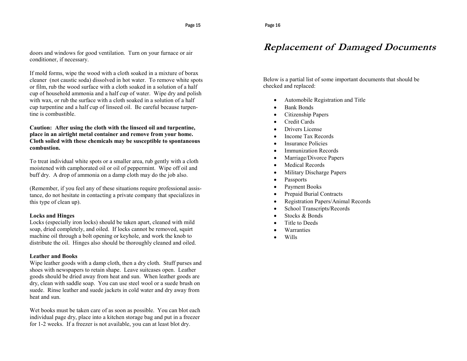#### doors and windows for good ventilation. Turn on your furnace or air conditioner, if necessary.

If mold forms, wipe the wood with a cloth soaked in a mixture of borax cleaner (not caustic soda) dissolved in hot water. To remove white spots or film, rub the wood surface with a cloth soaked in a solution of a half cup of household ammonia and a half cup of water. Wipe dry and polish with wax, or rub the surface with a cloth soaked in a solution of a half cup turpentine and a half cup of linseed oil. Be careful because turpentine is combustible.

#### **Caution: After using the cloth with the linseed oil and turpentine, place in an airtight metal container and remove from your home. Cloth soiled with these chemicals may be susceptible to spontaneous combustion.**

To treat individual white spots or a smaller area, rub gently with a cloth moistened with camphorated oil or oil of peppermint. Wipe off oil and buff dry. A drop of ammonia on a damp cloth may do the job also.

(Remember, if you feel any of these situations require professional assistance, do not hesitate in contacting a private company that specializes in this type of clean up).

#### **Locks and Hinges**

Locks (especially iron locks) should be taken apart, cleaned with mild soap, dried completely, and oiled. If locks cannot be removed, squirt machine oil through a bolt opening or keyhole, and work the knob to distribute the oil. Hinges also should be thoroughly cleaned and oiled.

#### **Leather and Books**

Wipe leather goods with a damp cloth, then a dry cloth. Stuff purses and shoes with newspapers to retain shape. Leave suitcases open. Leather goods should be dried away from heat and sun. When leather goods are dry, clean with saddle soap. You can use steel wool or a suede brush on suede. Rinse leather and suede jackets in cold water and dry away from heat and sun.

Wet books must be taken care of as soon as possible. You can blot each individual page dry, place into a kitchen storage bag and put in a freezer for 1-2 weeks. If a freezer is not available, you can at least blot dry.

### **Replacement of Damaged Documents**

Below is a partial list of some important documents that should be checked and replaced:

- Automobile Registration and Title
- Bank Bonds
- Citizenship Papers
- Credit Cards
- **•** Drivers License
- Income Tax Records
- Insurance Policies
- Immunization Records
- Marriage/Divorce Papers
- Medical Records
- Military Discharge Papers
- Passports
- Payment Books
- Prepaid Burial Contracts
- Registration Papers/Animal Records
- School Transcripts/Records
- Stocks & Bonds
- Title to Deeds
- Warranties
- Wills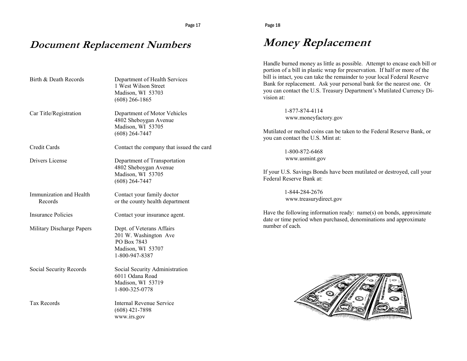### **Document Replacement Numbers**

| Birth & Death Records              | Department of Health Services<br>1 West Wilson Street<br>Madison, WI 53703<br>$(608)$ 266-1865           |
|------------------------------------|----------------------------------------------------------------------------------------------------------|
| Car Title/Registration             | Department of Motor Vehicles<br>4802 Sheboygan Avenue<br>Madison, WI 53705<br>$(608)$ 264-7447           |
| Credit Cards                       | Contact the company that issued the card                                                                 |
| Drivers License                    | Department of Transportation<br>4802 Sheboygan Avenue<br>Madison, WI 53705<br>$(608)$ 264-7447           |
| Immunization and Health<br>Records | Contact your family doctor<br>or the county health department                                            |
| <b>Insurance Policies</b>          | Contact your insurance agent.                                                                            |
| Military Discharge Papers          | Dept. of Veterans Affairs<br>201 W. Washington Ave<br>PO Box 7843<br>Madison, WI 53707<br>1-800-947-8387 |
| Social Security Records            | Social Security Administration<br>6011 Odana Road<br>Madison, WI 53719<br>1-800-325-0778                 |
| <b>Tax Records</b>                 | Internal Revenue Service<br>$(608)$ 421-7898<br>www.irs.gov                                              |

### **Money Replacement**

Handle burned money as little as possible. Attempt to encase each bill or portion of a bill in plastic wrap for preservation. If half or more of the bill is intact, you can take the remainder to your local Federal Reserve Bank for replacement. Ask your personal bank for the nearest one. Or you can contact the U.S. Treasury Department's Mutilated Currency Division at:

> 1-877-874-4114 www.moneyfactory.gov

Mutilated or melted coins can be taken to the Federal Reserve Bank, or you can contact the U.S. Mint at:

> 1-800-872-6468 www.usmint.gov

If your U.S. Savings Bonds have been mutilated or destroyed, call your Federal Reserve Bank at:

> 1-844-284-2676 www.treasurydirect.gov

Have the following information ready: name(s) on bonds, approximate date or time period when purchased, denominations and approximate number of each.

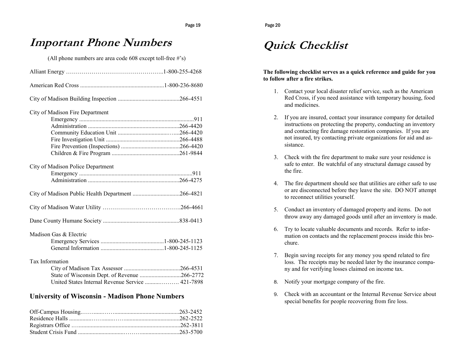### **Important Phone Numbers**

(All phone numbers are area code 608 except toll-free #'s)

| City of Madison Fire Department                  |  |
|--------------------------------------------------|--|
|                                                  |  |
|                                                  |  |
|                                                  |  |
|                                                  |  |
|                                                  |  |
|                                                  |  |
| City of Madison Police Department                |  |
|                                                  |  |
|                                                  |  |
|                                                  |  |
|                                                  |  |
|                                                  |  |
| Madison Gas & Electric                           |  |
|                                                  |  |
|                                                  |  |
| Tax Information                                  |  |
|                                                  |  |
| State of Wisconsin Dept. of Revenue 266-2772     |  |
| United States Internal Revenue Service  421-7898 |  |

#### **University of Wisconsin - Madison Phone Numbers**

### **Quick Checklist**

#### **The following checklist serves as a quick reference and guide for you to follow after a fire strikes.**

- 1. Contact your local disaster relief service, such as the American Red Cross, if you need assistance with temporary housing, food and medicines.
- 2. If you are insured, contact your insurance company for detailed instructions on protecting the property, conducting an inventory and contacting fire damage restoration companies. If you are not insured, try contacting private organizations for aid and assistance.
- 3. Check with the fire department to make sure your residence is safe to enter. Be watchful of any structural damage caused by the fire.
- 4. The fire department should see that utilities are either safe to use or are disconnected before they leave the site. DO NOT attempt to reconnect utilities yourself.
- 5. Conduct an inventory of damaged property and items. Do not throw away any damaged goods until after an inventory is made.
- 6. Try to locate valuable documents and records. Refer to information on contacts and the replacement process inside this brochure.
- 7. Begin saving receipts for any money you spend related to fire loss. The receipts may be needed later by the insurance company and for verifying losses claimed on income tax.
- 8. Notify your mortgage company of the fire.
- 9. Check with an accountant or the Internal Revenue Service about special benefits for people recovering from fire loss.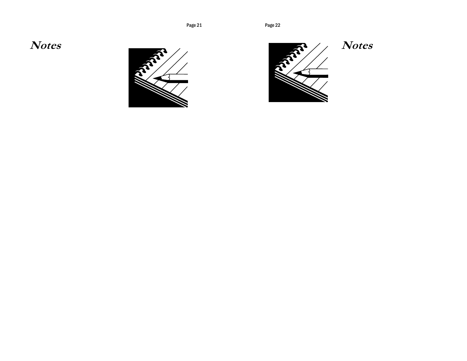**Notes**





### **Notes**